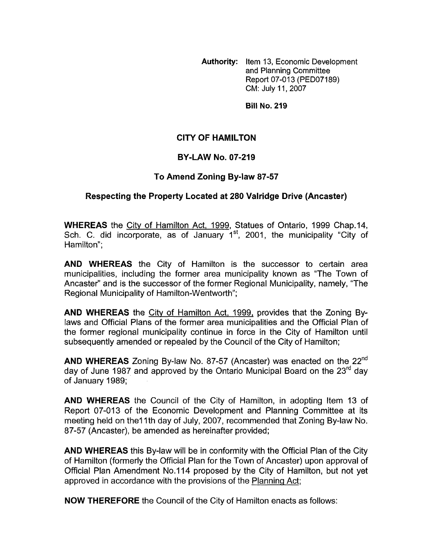**Authority:** Item **13,** Economic Development and Planning Committee Report 07-013 (PED07189) CM: July 11,2007

**Bill No. 219** 

## **CITY OF HAMILTON**

## **BY-LAW NO. 07-219**

## **To Amend Zoning By-law 87-57**

## **Respecting the Property Located at 280 Valridge Drive (Ancaster)**

**WHEREAS** the City of Hamilton Act, 1999, Statues of Ontario, 1999 Chap.14, Sch. C. did incorporate, as of January  $1<sup>st</sup>$ , 2001, the municipality "City of Hamilton":

**AND WHEREAS** the City of Hamilton is the successor to certain area municipalities, including the former area municipality known as "The Town of Ancaster" and is the successor of the former Regional Municipality, namely, "The Regional Municipality of Hamilton-Wentworth";

**AND WHEREAS** the Citv of Hamilton Act, 1999, provides that the Zoning Bylaws and Official Plans of the former area municipalities and the Official Plan of the former regional municipality continue in force in the City of Hamilton until subsequently amended or repealed by the Council of the City of Hamilton;

**AND WHEREAS** Zoning By-law No. 87-57 (Ancaster) was enacted on the 22nd day of June 1987 and approved by the Ontario Municipal Board on the  $23^{\text{rd}}$  day of January 1989;

**AND WHEREAS** the Council of the City of Hamilton, in adopting Item 13 of Report 07-013 of the Economic Development and Planning Committee at its meeting held on the11th day of July, 2007, recommended that Zoning By-law No. 87-57 (Ancaster), be amended as hereinafter provided;

**AND WHEREAS** this By-law will be in conformity with the Official Plan of the City of Hamilton (formerly the Official Plan for the Town of Ancaster) upon approval of Official Plan Amendment No.114 proposed by the City of Hamilton, but not yet approved in accordance with the provisions of the Planning Act;

**NOW THEREFORE** the Council of the City of Hamilton enacts as follows: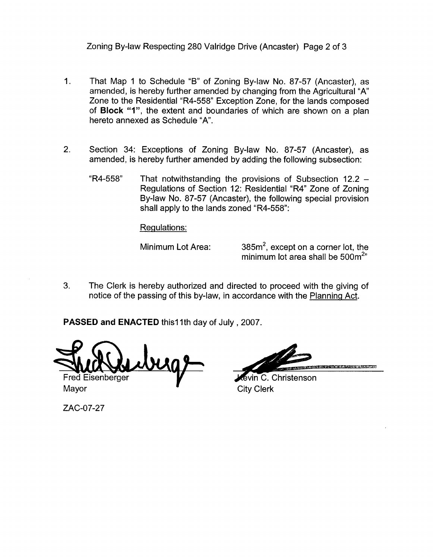Zoning By-law Respecting 280 Valridge Drive (Ancaster) Page 2 of 3

- 1. That Map 1 to Schedule "B" of Zoning By-law No. 87-57 (Ancaster), as amended, is hereby further amended by changing from the Agricultural "A' Zone to the Residential "R4-558" Exception Zone, for the lands composed of **Block "I",** the extent and boundaries of which are shown on a plan hereto annexed as Schedule "A'.
- 2. Section 34: Exceptions of Zoning By-law No. 87-57 (Ancaster), as amended, is hereby further amended by adding the following subsection:
	- $R4-558$ " That notwithstanding the provisions of Subsection 12.2 -Regulations of Section 12: Residential "R4" Zone of Zoning By-law No. 87-57 (Ancaster), the following special provision shall apply to the lands zoned "R4-558":

Regulations:

Minimum Lot Area:  $385m^2$ , except on a corner lot, the minimum lot area shall be  $500m^{2}$ "

3. The Clerk is hereby authorized and directed to proceed with the giving of notice of the passing of this by-law, in accordance with the Planning Act.

PASSED and ENACTED this11th day of July, 2007.

Fred Eisenberger

KARA LEMBAHAN KAMPATAN KANADA

tevin C. Christenson Mayor **Mayor** City Clerk

ZAC-07-27